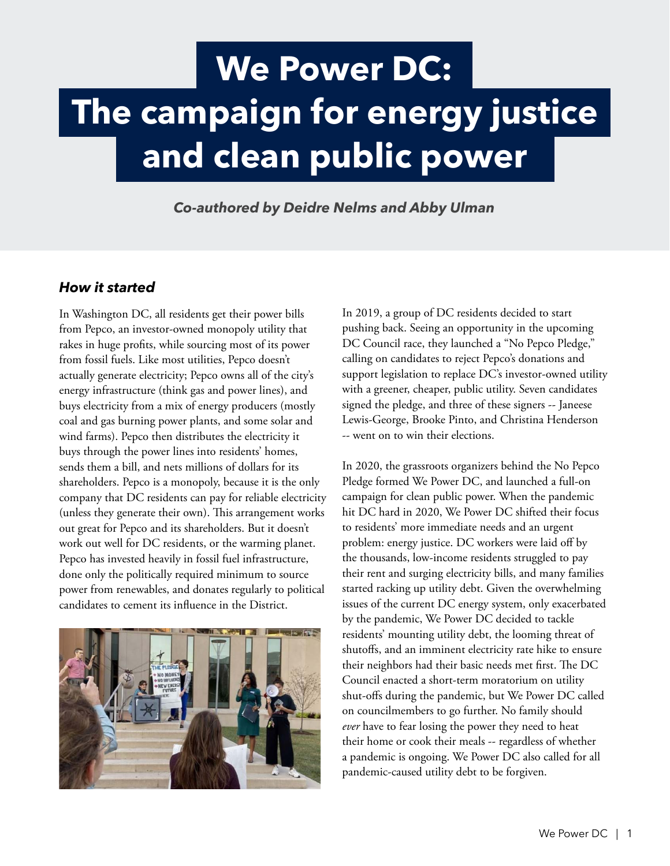# **We Power DC: The campaign for energy justice and clean public power**

*Co-authored by Deidre Nelms and Abby Ulman*

## *How it started*

In Washington DC, all residents get their power bills from Pepco, an investor-owned monopoly utility that rakes in huge profits, while sourcing most of its power from fossil fuels. Like most utilities, Pepco doesn't actually generate electricity; Pepco owns all of the city's energy infrastructure (think gas and power lines), and buys electricity from a mix of energy producers (mostly coal and gas burning power plants, and some solar and wind farms). Pepco then distributes the electricity it buys through the power lines into residents' homes, sends them a bill, and nets millions of dollars for its shareholders. Pepco is a monopoly, because it is the only company that DC residents can pay for reliable electricity (unless they generate their own). This arrangement works out great for Pepco and its shareholders. But it doesn't work out well for DC residents, or the warming planet. Pepco has invested heavily in fossil fuel infrastructure, done only the politically required minimum to source power from renewables, and donates regularly to political candidates to cement its influence in the District.



In 2019, a group of DC residents decided to start pushing back. Seeing an opportunity in the upcoming DC Council race, they launched a "No Pepco Pledge," calling on candidates to reject Pepco's donations and support legislation to replace DC's investor-owned utility with a greener, cheaper, public utility. Seven candidates signed the pledge, and three of these signers -- Janeese Lewis-George, Brooke Pinto, and Christina Henderson -- went on to win their elections.

In 2020, the grassroots organizers behind the No Pepco Pledge formed We Power DC, and launched a full-on campaign for clean public power. When the pandemic hit DC hard in 2020, We Power DC shifted their focus to residents' more immediate needs and an urgent problem: energy justice. DC workers were laid off by the thousands, low-income residents struggled to pay their rent and surging electricity bills, and many families started racking up utility debt. Given the overwhelming issues of the current DC energy system, only exacerbated by the pandemic, We Power DC decided to tackle residents' mounting utility debt, the looming threat of shutoffs, and an imminent electricity rate hike to ensure their neighbors had their basic needs met first. The DC Council enacted a short-term moratorium on utility shut-offs during the pandemic, but We Power DC called on councilmembers to go further. No family should *ever* have to fear losing the power they need to heat their home or cook their meals -- regardless of whether a pandemic is ongoing. We Power DC also called for all pandemic-caused utility debt to be forgiven.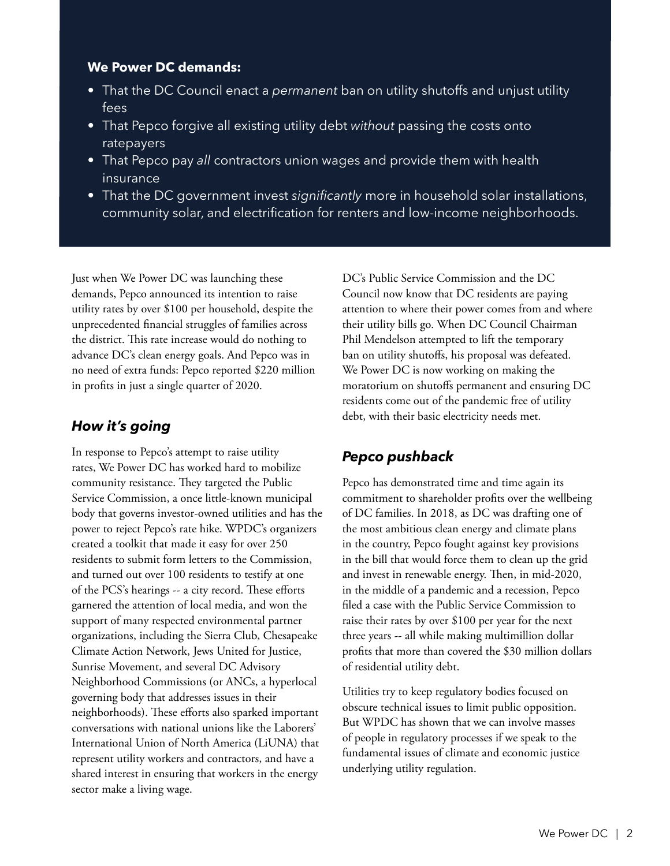### **We Power DC demands:**

- That the DC Council enact a *permanent* ban on utility shutoffs and unjust utility fees
- That Pepco forgive all existing utility debt *without* passing the costs onto ratepayers
- That Pepco pay *all* contractors union wages and provide them with health insurance
- That the DC government invest *significantly* more in household solar installations, community solar, and electrification for renters and low-income neighborhoods.

Just when We Power DC was launching these demands, Pepco announced its intention to raise utility rates by over \$100 per household, despite the unprecedented financial struggles of families across the district. This rate increase would do nothing to advance DC's clean energy goals. And Pepco was in no need of extra funds: Pepco reported \$220 million in profits in just a single quarter of 2020.

## *How it's going*

In response to Pepco's attempt to raise utility rates, We Power DC has worked hard to mobilize community resistance. They targeted the Public Service Commission, a once little-known municipal body that governs investor-owned utilities and has the power to reject Pepco's rate hike. WPDC's organizers created a toolkit that made it easy for over 250 residents to submit form letters to the Commission, and turned out over 100 residents to testify at one of the PCS's hearings -- a city record. These efforts garnered the attention of local media, and won the support of many respected environmental partner organizations, including the Sierra Club, Chesapeake Climate Action Network, Jews United for Justice, Sunrise Movement, and several DC Advisory Neighborhood Commissions (or ANCs, a hyperlocal governing body that addresses issues in their neighborhoods). These efforts also sparked important conversations with national unions like the Laborers' International Union of North America (LiUNA) that represent utility workers and contractors, and have a shared interest in ensuring that workers in the energy sector make a living wage.

DC's Public Service Commission and the DC Council now know that DC residents are paying attention to where their power comes from and where their utility bills go. When DC Council Chairman Phil Mendelson attempted to lift the temporary ban on utility shutoffs, his proposal was defeated. We Power DC is now working on making the moratorium on shutoffs permanent and ensuring DC residents come out of the pandemic free of utility debt, with their basic electricity needs met.

# *Pepco pushback*

Pepco has demonstrated time and time again its commitment to shareholder profits over the wellbeing of DC families. In 2018, as DC was drafting one of the most ambitious clean energy and climate plans in the country, Pepco fought against key provisions in the bill that would force them to clean up the grid and invest in renewable energy. Then, in mid-2020, in the middle of a pandemic and a recession, Pepco filed a case with the Public Service Commission to raise their rates by over \$100 per year for the next three years -- all while making multimillion dollar profits that more than covered the \$30 million dollars of residential utility debt.

Utilities try to keep regulatory bodies focused on obscure technical issues to limit public opposition. But WPDC has shown that we can involve masses of people in regulatory processes if we speak to the fundamental issues of climate and economic justice underlying utility regulation.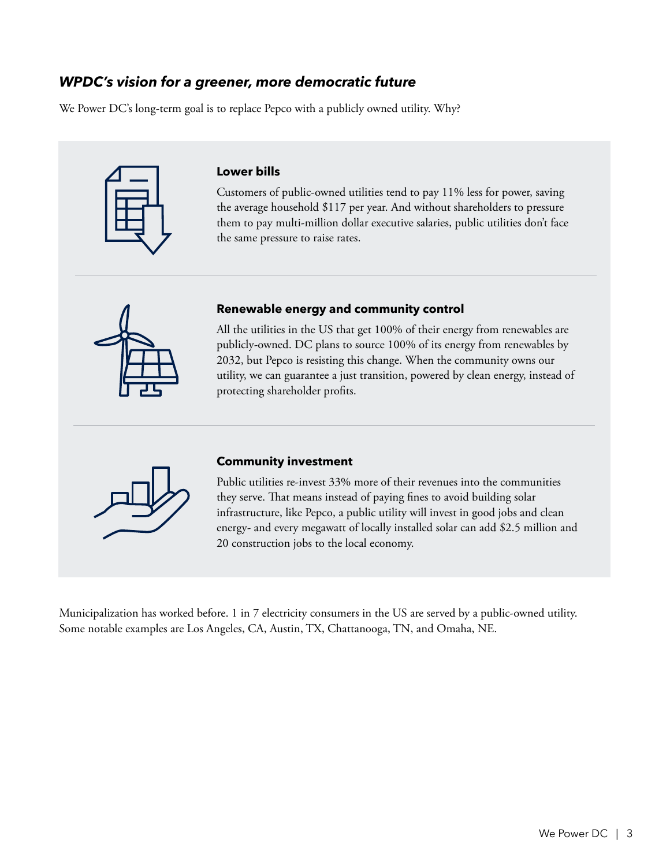## *WPDC's vision for a greener, more democratic future*

We Power DC's long-term goal is to replace Pepco with a publicly owned utility. Why?



#### **Lower bills**

Customers of public-owned utilities tend to pay 11% less for power, saving the average household \$117 per year. And without shareholders to pressure them to pay multi-million dollar executive salaries, public utilities don't face the same pressure to raise rates.



#### **Renewable energy and community control**

All the utilities in the US that get 100% of their energy from renewables are publicly-owned. DC plans to source 100% of its energy from renewables by 2032, but Pepco is resisting this change. When the community owns our utility, we can guarantee a just transition, powered by clean energy, instead of protecting shareholder profits.



#### **Community investment**

Public utilities re-invest 33% more of their revenues into the communities they serve. That means instead of paying fines to avoid building solar infrastructure, like Pepco, a public utility will invest in good jobs and clean energy- and every megawatt of locally installed solar can add \$2.5 million and 20 construction jobs to the local economy.

Municipalization has worked before. 1 in 7 electricity consumers in the US are served by a public-owned utility. Some notable examples are Los Angeles, CA, Austin, TX, Chattanooga, TN, and Omaha, NE.